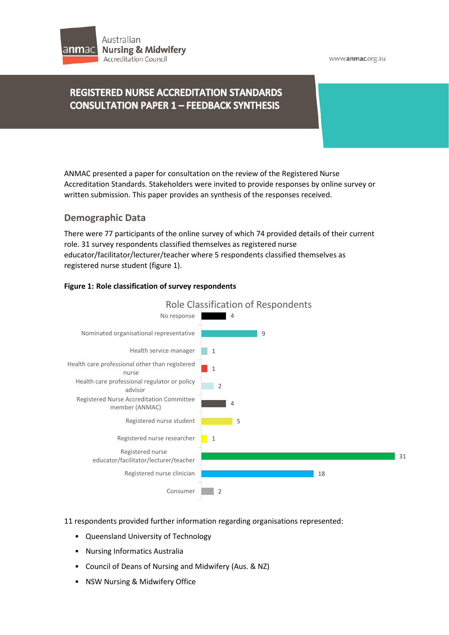

#### www.anmac.org.au

# **REGISTERED NURSE ACCREDITATION STANDARDS CONSULTATION PAPER 1 - FEEDBACK SYNTHESIS**

ANMAC presented a paper for consultation on the review of the Registered Nurse Accreditation Standards. Stakeholders were invited to provide responses by online survey or written submission. This paper provides an synthesis of the responses received.

# **Demographic Data**

There were 77 participants of the online survey of which 74 provided details of their current role. 31 survey respondents classified themselves as registered nurse educator/facilitator/lecturer/teacher where 5 respondents classified themselves as registered nurse student (figure 1).

# **Figure 1: Role classification of survey respondents**



### 11 respondents provided further information regarding organisations represented:

- Queensland University of Technology
- Nursing Informatics Australia
- Council of Deans of Nursing and Midwifery (Aus. & NZ)
- NSW Nursing & Midwifery Office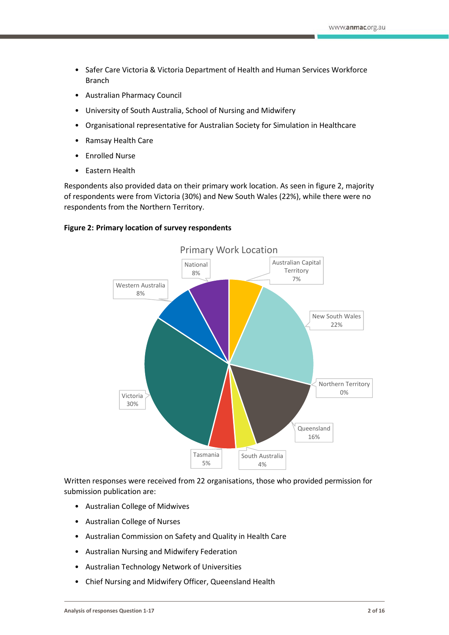- Safer Care Victoria & Victoria Department of Health and Human Services Workforce Branch
- Australian Pharmacy Council
- University of South Australia, School of Nursing and Midwifery
- Organisational representative for Australian Society for Simulation in Healthcare
- Ramsay Health Care
- Enrolled Nurse
- Eastern Health

Respondents also provided data on their primary work location. As seen in figure 2, majority of respondents were from Victoria (30%) and New South Wales (22%), while there were no respondents from the Northern Territory.

### **Figure 2: Primary location of survey respondents**



Written responses were received from 22 organisations, those who provided permission for submission publication are:

- Australian College of Midwives
- Australian College of Nurses
- Australian Commission on Safety and Quality in Health Care
- Australian Nursing and Midwifery Federation
- Australian Technology Network of Universities
- Chief Nursing and Midwifery Officer, Queensland Health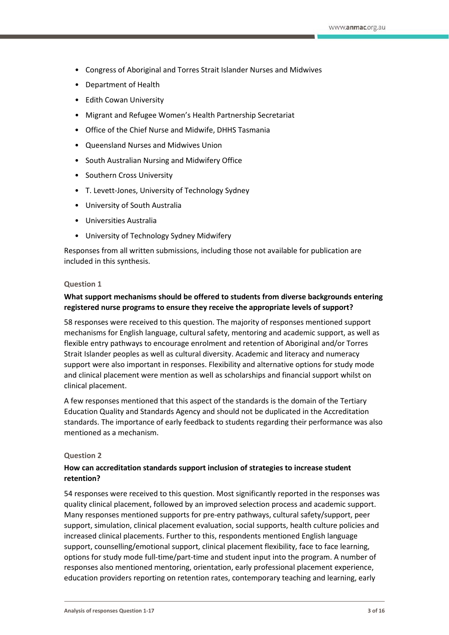- Congress of Aboriginal and Torres Strait Islander Nurses and Midwives
- Department of Health
- Edith Cowan University
- Migrant and Refugee Women's Health Partnership Secretariat
- Office of the Chief Nurse and Midwife, DHHS Tasmania
- Queensland Nurses and Midwives Union
- South Australian Nursing and Midwifery Office
- Southern Cross University
- T. Levett-Jones, University of Technology Sydney
- University of South Australia
- Universities Australia
- University of Technology Sydney Midwifery

Responses from all written submissions, including those not available for publication are included in this synthesis.

### **Question 1**

# **What support mechanisms should be offered to students from diverse backgrounds entering registered nurse programs to ensure they receive the appropriate levels of support?**

58 responses were received to this question. The majority of responses mentioned support mechanisms for English language, cultural safety, mentoring and academic support, as well as flexible entry pathways to encourage enrolment and retention of Aboriginal and/or Torres Strait Islander peoples as well as cultural diversity. Academic and literacy and numeracy support were also important in responses. Flexibility and alternative options for study mode and clinical placement were mention as well as scholarships and financial support whilst on clinical placement.

A few responses mentioned that this aspect of the standards is the domain of the Tertiary Education Quality and Standards Agency and should not be duplicated in the Accreditation standards. The importance of early feedback to students regarding their performance was also mentioned as a mechanism.

#### **Question 2**

# **How can accreditation standards support inclusion of strategies to increase student retention?**

54 responses were received to this question. Most significantly reported in the responses was quality clinical placement, followed by an improved selection process and academic support. Many responses mentioned supports for pre-entry pathways, cultural safety/support, peer support, simulation, clinical placement evaluation, social supports, health culture policies and increased clinical placements. Further to this, respondents mentioned English language support, counselling/emotional support, clinical placement flexibility, face to face learning, options for study mode full-time/part-time and student input into the program. A number of responses also mentioned mentoring, orientation, early professional placement experience, education providers reporting on retention rates, contemporary teaching and learning, early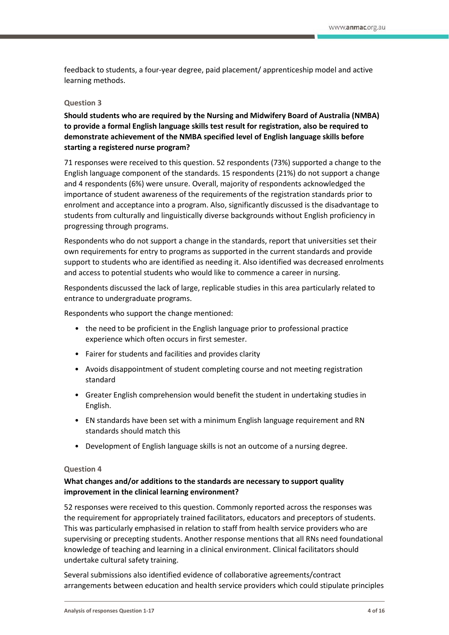feedback to students, a four-year degree, paid placement/ apprenticeship model and active learning methods.

### **Question 3**

**Should students who are required by the Nursing and Midwifery Board of Australia (NMBA) to provide a formal English language skills test result for registration, also be required to demonstrate achievement of the NMBA specified level of English language skills before starting a registered nurse program?**

71 responses were received to this question. 52 respondents (73%) supported a change to the English language component of the standards. 15 respondents (21%) do not support a change and 4 respondents (6%) were unsure. Overall, majority of respondents acknowledged the importance of student awareness of the requirements of the registration standards prior to enrolment and acceptance into a program. Also, significantly discussed is the disadvantage to students from culturally and linguistically diverse backgrounds without English proficiency in progressing through programs.

Respondents who do not support a change in the standards, report that universities set their own requirements for entry to programs as supported in the current standards and provide support to students who are identified as needing it. Also identified was decreased enrolments and access to potential students who would like to commence a career in nursing.

Respondents discussed the lack of large, replicable studies in this area particularly related to entrance to undergraduate programs.

Respondents who support the change mentioned:

- the need to be proficient in the English language prior to professional practice experience which often occurs in first semester.
- Fairer for students and facilities and provides clarity
- Avoids disappointment of student completing course and not meeting registration standard
- Greater English comprehension would benefit the student in undertaking studies in English.
- EN standards have been set with a minimum English language requirement and RN standards should match this
- Development of English language skills is not an outcome of a nursing degree.

### **Question 4**

# **What changes and/or additions to the standards are necessary to support quality improvement in the clinical learning environment?**

52 responses were received to this question. Commonly reported across the responses was the requirement for appropriately trained facilitators, educators and preceptors of students. This was particularly emphasised in relation to staff from health service providers who are supervising or precepting students. Another response mentions that all RNs need foundational knowledge of teaching and learning in a clinical environment. Clinical facilitators should undertake cultural safety training.

Several submissions also identified evidence of collaborative agreements/contract arrangements between education and health service providers which could stipulate principles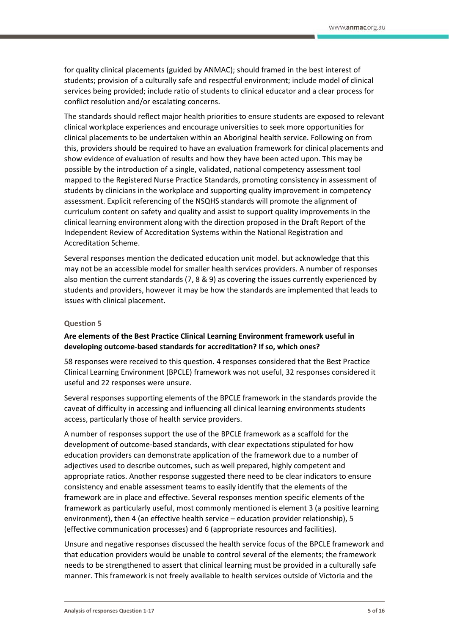for quality clinical placements (guided by ANMAC); should framed in the best interest of students; provision of a culturally safe and respectful environment; include model of clinical services being provided; include ratio of students to clinical educator and a clear process for conflict resolution and/or escalating concerns.

The standards should reflect major health priorities to ensure students are exposed to relevant clinical workplace experiences and encourage universities to seek more opportunities for clinical placements to be undertaken within an Aboriginal health service. Following on from this, providers should be required to have an evaluation framework for clinical placements and show evidence of evaluation of results and how they have been acted upon. This may be possible by the introduction of a single, validated, national competency assessment tool mapped to the Registered Nurse Practice Standards, promoting consistency in assessment of students by clinicians in the workplace and supporting quality improvement in competency assessment. Explicit referencing of the NSQHS standards will promote the alignment of curriculum content on safety and quality and assist to support quality improvements in the clinical learning environment along with the direction proposed in the Draft Report of the Independent Review of Accreditation Systems within the National Registration and Accreditation Scheme.

Several responses mention the dedicated education unit model. but acknowledge that this may not be an accessible model for smaller health services providers. A number of responses also mention the current standards (7, 8 & 9) as covering the issues currently experienced by students and providers, however it may be how the standards are implemented that leads to issues with clinical placement.

#### **Question 5**

# **Are elements of the Best Practice Clinical Learning Environment framework useful in developing outcome-based standards for accreditation? If so, which ones?**

58 responses were received to this question. 4 responses considered that the Best Practice Clinical Learning Environment (BPCLE) framework was not useful, 32 responses considered it useful and 22 responses were unsure.

Several responses supporting elements of the BPCLE framework in the standards provide the caveat of difficulty in accessing and influencing all clinical learning environments students access, particularly those of health service providers.

A number of responses support the use of the BPCLE framework as a scaffold for the development of outcome-based standards, with clear expectations stipulated for how education providers can demonstrate application of the framework due to a number of adjectives used to describe outcomes, such as well prepared, highly competent and appropriate ratios. Another response suggested there need to be clear indicators to ensure consistency and enable assessment teams to easily identify that the elements of the framework are in place and effective. Several responses mention specific elements of the framework as particularly useful, most commonly mentioned is element 3 (a positive learning environment), then 4 (an effective health service – education provider relationship), 5 (effective communication processes) and 6 (appropriate resources and facilities).

Unsure and negative responses discussed the health service focus of the BPCLE framework and that education providers would be unable to control several of the elements; the framework needs to be strengthened to assert that clinical learning must be provided in a culturally safe manner. This framework is not freely available to health services outside of Victoria and the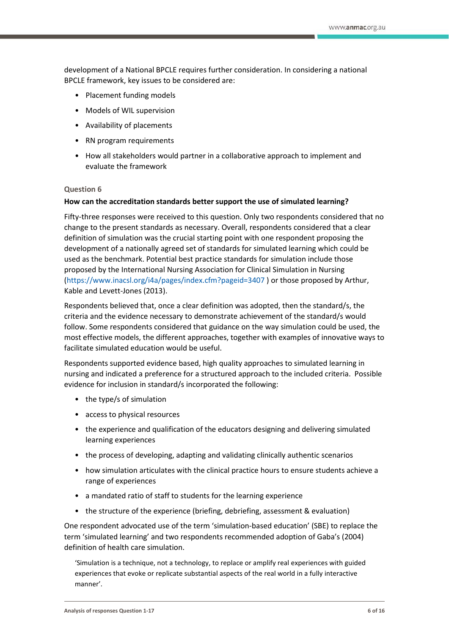development of a National BPCLE requires further consideration. In considering a national BPCLE framework, key issues to be considered are:

- Placement funding models
- Models of WIL supervision
- Availability of placements
- RN program requirements
- How all stakeholders would partner in a collaborative approach to implement and evaluate the framework

#### **Question 6**

#### **How can the accreditation standards better support the use of simulated learning?**

Fifty-three responses were received to this question. Only two respondents considered that no change to the present standards as necessary. Overall, respondents considered that a clear definition of simulation was the crucial starting point with one respondent proposing the development of a nationally agreed set of standards for simulated learning which could be used as the benchmark. Potential best practice standards for simulation include those proposed by the International Nursing Association for Clinical Simulation in Nursing [\(https://www.inacsl.org/i4a/pages/index.cfm?pageid=3407](https://www.inacsl.org/i4a/pages/index.cfm?pageid=3407) ) or those proposed by Arthur, Kable and Levett-Jones (2013).

Respondents believed that, once a clear definition was adopted, then the standard/s, the criteria and the evidence necessary to demonstrate achievement of the standard/s would follow. Some respondents considered that guidance on the way simulation could be used, the most effective models, the different approaches, together with examples of innovative ways to facilitate simulated education would be useful.

Respondents supported evidence based, high quality approaches to simulated learning in nursing and indicated a preference for a structured approach to the included criteria. Possible evidence for inclusion in standard/s incorporated the following:

- the type/s of simulation
- access to physical resources
- the experience and qualification of the educators designing and delivering simulated learning experiences
- the process of developing, adapting and validating clinically authentic scenarios
- how simulation articulates with the clinical practice hours to ensure students achieve a range of experiences
- a mandated ratio of staff to students for the learning experience
- the structure of the experience (briefing, debriefing, assessment & evaluation)

One respondent advocated use of the term 'simulation-based education' (SBE) to replace the term 'simulated learning' and two respondents recommended adoption of Gaba's (2004) definition of health care simulation.

'Simulation is a technique, not a technology, to replace or amplify real experiences with guided experiences that evoke or replicate substantial aspects of the real world in a fully interactive manner'.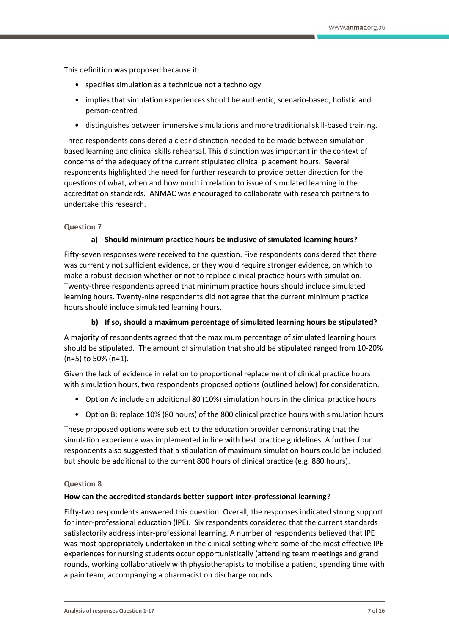This definition was proposed because it:

- specifies simulation as a technique not a technology
- implies that simulation experiences should be authentic, scenario-based, holistic and person-centred
- distinguishes between immersive simulations and more traditional skill-based training.

Three respondents considered a clear distinction needed to be made between simulationbased learning and clinical skills rehearsal. This distinction was important in the context of concerns of the adequacy of the current stipulated clinical placement hours. Several respondents highlighted the need for further research to provide better direction for the questions of what, when and how much in relation to issue of simulated learning in the accreditation standards. ANMAC was encouraged to collaborate with research partners to undertake this research.

### **Question 7**

### **a) Should minimum practice hours be inclusive of simulated learning hours?**

Fifty-seven responses were received to the question. Five respondents considered that there was currently not sufficient evidence, or they would require stronger evidence, on which to make a robust decision whether or not to replace clinical practice hours with simulation. Twenty-three respondents agreed that minimum practice hours should include simulated learning hours. Twenty-nine respondents did not agree that the current minimum practice hours should include simulated learning hours.

# **b) If so, should a maximum percentage of simulated learning hours be stipulated?**

A majority of respondents agreed that the maximum percentage of simulated learning hours should be stipulated. The amount of simulation that should be stipulated ranged from 10-20% (n=5) to 50% (n=1).

Given the lack of evidence in relation to proportional replacement of clinical practice hours with simulation hours, two respondents proposed options (outlined below) for consideration.

- Option A: include an additional 80 (10%) simulation hours in the clinical practice hours
- Option B: replace 10% (80 hours) of the 800 clinical practice hours with simulation hours

These proposed options were subject to the education provider demonstrating that the simulation experience was implemented in line with best practice guidelines. A further four respondents also suggested that a stipulation of maximum simulation hours could be included but should be additional to the current 800 hours of clinical practice (e.g. 880 hours).

### **Question 8**

### **How can the accredited standards better support inter-professional learning?**

Fifty-two respondents answered this question. Overall, the responses indicated strong support for inter-professional education (IPE). Six respondents considered that the current standards satisfactorily address inter-professional learning. A number of respondents believed that IPE was most appropriately undertaken in the clinical setting where some of the most effective IPE experiences for nursing students occur opportunistically (attending team meetings and grand rounds, working collaboratively with physiotherapists to mobilise a patient, spending time with a pain team, accompanying a pharmacist on discharge rounds.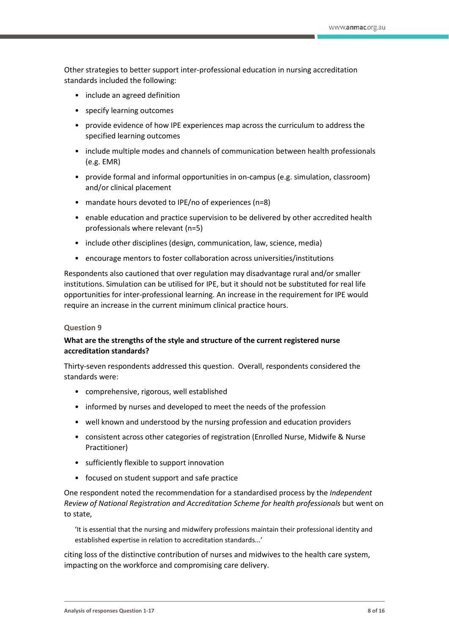Other strategies to better support inter-professional education in nursing accreditation standards included the following:

- include an agreed definition
- specify learning outcomes
- provide evidence of how IPE experiences map across the curriculum to address the specified learning outcomes
- include multiple modes and channels of communication between health professionals (e.g. EMR)
- provide formal and informal opportunities in on-campus (e.g. simulation, classroom) and/or clinical placement
- mandate hours devoted to IPE/no of experiences (n=8)
- enable education and practice supervision to be delivered by other accredited health professionals where relevant (n=5)
- include other disciplines (design, communication, law, science, media)
- encourage mentors to foster collaboration across universities/institutions

Respondents also cautioned that over regulation may disadvantage rural and/or smaller institutions. Simulation can be utilised for IPE, but it should not be substituted for real life opportunities for inter-professional learning. An increase in the requirement for IPE would require an increase in the current minimum clinical practice hours.

### **Question 9**

# **What are the strengths of the style and structure of the current registered nurse accreditation standards?**

Thirty-seven respondents addressed this question. Overall, respondents considered the standards were:

- comprehensive, rigorous, well established
- informed by nurses and developed to meet the needs of the profession
- well known and understood by the nursing profession and education providers
- consistent across other categories of registration (Enrolled Nurse, Midwife & Nurse Practitioner)
- sufficiently flexible to support innovation
- focused on student support and safe practice

One respondent noted the recommendation for a standardised process by the *Independent Review of National Registration and Accreditation Scheme for health professionals* but went on to state,

'It is essential that the nursing and midwifery professions maintain their professional identity and established expertise in relation to accreditation standards...'

citing loss of the distinctive contribution of nurses and midwives to the health care system, impacting on the workforce and compromising care delivery.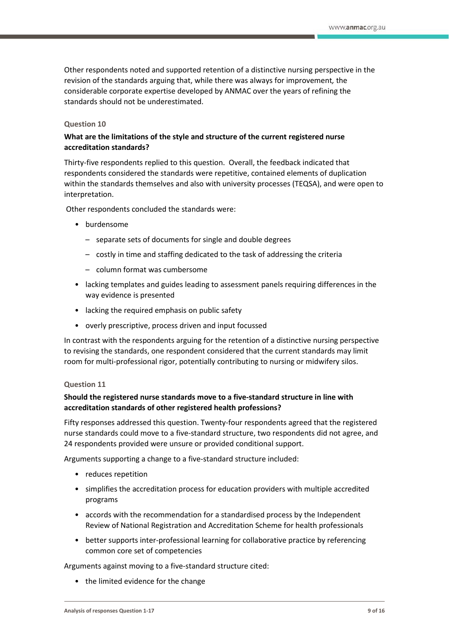Other respondents noted and supported retention of a distinctive nursing perspective in the revision of the standards arguing that, while there was always for improvement*,* the considerable corporate expertise developed by ANMAC over the years of refining the standards should not be underestimated.

### **Question 10**

# **What are the limitations of the style and structure of the current registered nurse accreditation standards?**

Thirty-five respondents replied to this question. Overall, the feedback indicated that respondents considered the standards were repetitive, contained elements of duplication within the standards themselves and also with university processes (TEQSA), and were open to interpretation.

Other respondents concluded the standards were:

- burdensome
	- separate sets of documents for single and double degrees
	- costly in time and staffing dedicated to the task of addressing the criteria
	- column format was cumbersome
- lacking templates and guides leading to assessment panels requiring differences in the way evidence is presented
- lacking the required emphasis on public safety
- overly prescriptive, process driven and input focussed

In contrast with the respondents arguing for the retention of a distinctive nursing perspective to revising the standards, one respondent considered that the current standards may limit room for multi-professional rigor, potentially contributing to nursing or midwifery silos.

# **Question 11**

# **Should the registered nurse standards move to a five-standard structure in line with accreditation standards of other registered health professions?**

Fifty responses addressed this question. Twenty-four respondents agreed that the registered nurse standards could move to a five-standard structure, two respondents did not agree, and 24 respondents provided were unsure or provided conditional support.

Arguments supporting a change to a five-standard structure included:

- reduces repetition
- simplifies the accreditation process for education providers with multiple accredited programs
- accords with the recommendation for a standardised process by the Independent Review of National Registration and Accreditation Scheme for health professionals
- better supports inter-professional learning for collaborative practice by referencing common core set of competencies

Arguments against moving to a five-standard structure cited:

• the limited evidence for the change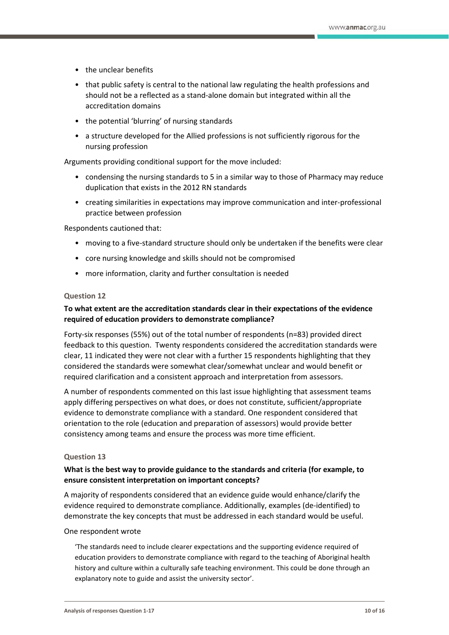- the unclear benefits
- that public safety is central to the national law regulating the health professions and should not be a reflected as a stand-alone domain but integrated within all the accreditation domains
- the potential 'blurring' of nursing standards
- a structure developed for the Allied professions is not sufficiently rigorous for the nursing profession

Arguments providing conditional support for the move included:

- condensing the nursing standards to 5 in a similar way to those of Pharmacy may reduce duplication that exists in the 2012 RN standards
- creating similarities in expectations may improve communication and inter-professional practice between profession

Respondents cautioned that:

- moving to a five-standard structure should only be undertaken if the benefits were clear
- core nursing knowledge and skills should not be compromised
- more information, clarity and further consultation is needed

### **Question 12**

# **To what extent are the accreditation standards clear in their expectations of the evidence required of education providers to demonstrate compliance?**

Forty-six responses (55%) out of the total number of respondents (n=83) provided direct feedback to this question. Twenty respondents considered the accreditation standards were clear, 11 indicated they were not clear with a further 15 respondents highlighting that they considered the standards were somewhat clear/somewhat unclear and would benefit or required clarification and a consistent approach and interpretation from assessors.

A number of respondents commented on this last issue highlighting that assessment teams apply differing perspectives on what does, or does not constitute, sufficient/appropriate evidence to demonstrate compliance with a standard. One respondent considered that orientation to the role (education and preparation of assessors) would provide better consistency among teams and ensure the process was more time efficient.

### **Question 13**

# **What is the best way to provide guidance to the standards and criteria (for example, to ensure consistent interpretation on important concepts?**

A majority of respondents considered that an evidence guide would enhance/clarify the evidence required to demonstrate compliance. Additionally, examples (de-identified) to demonstrate the key concepts that must be addressed in each standard would be useful.

### One respondent wrote

'The standards need to include clearer expectations and the supporting evidence required of education providers to demonstrate compliance with regard to the teaching of Aboriginal health history and culture within a culturally safe teaching environment. This could be done through an explanatory note to guide and assist the university sector'.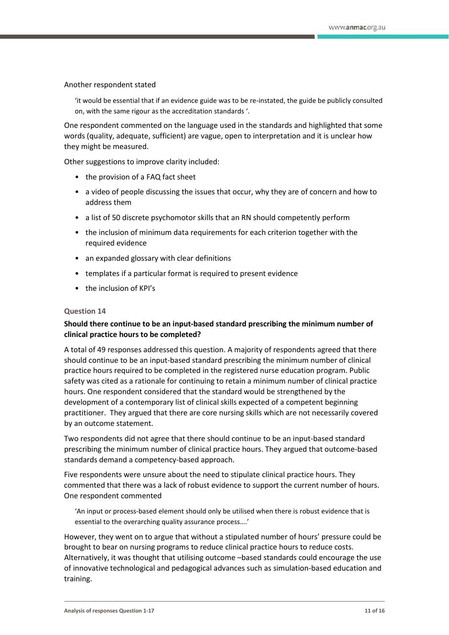#### Another respondent stated

'it would be essential that if an evidence guide was to be re-instated, the guide be publicly consulted on, with the same rigour as the accreditation standards '.

One respondent commented on the language used in the standards and highlighted that some words (quality, adequate, sufficient) are vague, open to interpretation and it is unclear how they might be measured.

Other suggestions to improve clarity included:

- the provision of a FAQ fact sheet
- a video of people discussing the issues that occur, why they are of concern and how to address them
- a list of 50 discrete psychomotor skills that an RN should competently perform
- the inclusion of minimum data requirements for each criterion together with the required evidence
- an expanded glossary with clear definitions
- templates if a particular format is required to present evidence
- the inclusion of KPI's

#### **Question 14**

### **Should there continue to be an input-based standard prescribing the minimum number of clinical practice hours to be completed?**

A total of 49 responses addressed this question. A majority of respondents agreed that there should continue to be an input-based standard prescribing the minimum number of clinical practice hours required to be completed in the registered nurse education program. Public safety was cited as a rationale for continuing to retain a minimum number of clinical practice hours. One respondent considered that the standard would be strengthened by the development of a contemporary list of clinical skills expected of a competent beginning practitioner. They argued that there are core nursing skills which are not necessarily covered by an outcome statement.

Two respondents did not agree that there should continue to be an input-based standard prescribing the minimum number of clinical practice hours. They argued that outcome-based standards demand a competency-based approach.

Five respondents were unsure about the need to stipulate clinical practice hours. They commented that there was a lack of robust evidence to support the current number of hours. One respondent commented

'An input or process-based element should only be utilised when there is robust evidence that is essential to the overarching quality assurance process….'

However, they went on to argue that without a stipulated number of hours' pressure could be brought to bear on nursing programs to reduce clinical practice hours to reduce costs. Alternatively, it was thought that utilising outcome –based standards could encourage the use of innovative technological and pedagogical advances such as simulation-based education and training.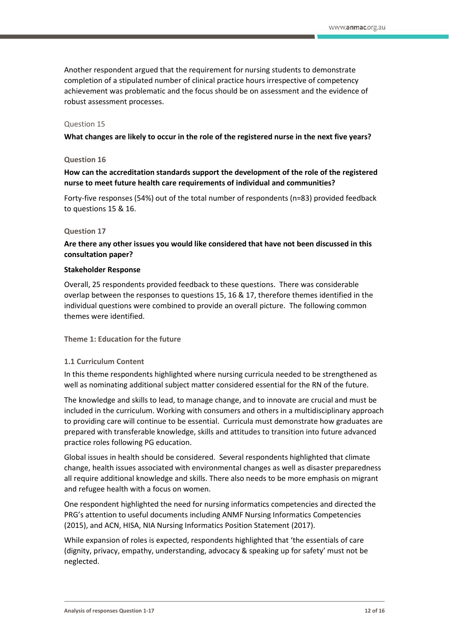Another respondent argued that the requirement for nursing students to demonstrate completion of a stipulated number of clinical practice hours irrespective of competency achievement was problematic and the focus should be on assessment and the evidence of robust assessment processes.

#### Question 15

**What changes are likely to occur in the role of the registered nurse in the next five years?**

#### **Question 16**

**How can the accreditation standards support the development of the role of the registered nurse to meet future health care requirements of individual and communities?** 

Forty-five responses (54%) out of the total number of respondents (n=83) provided feedback to questions 15 & 16.

#### **Question 17**

**Are there any other issues you would like considered that have not been discussed in this consultation paper?** 

#### **Stakeholder Response**

Overall, 25 respondents provided feedback to these questions. There was considerable overlap between the responses to questions 15, 16 & 17, therefore themes identified in the individual questions were combined to provide an overall picture. The following common themes were identified.

**Theme 1: Education for the future**

### **1.1 Curriculum Content**

In this theme respondents highlighted where nursing curricula needed to be strengthened as well as nominating additional subject matter considered essential for the RN of the future.

The knowledge and skills to lead, to manage change, and to innovate are crucial and must be included in the curriculum. Working with consumers and others in a multidisciplinary approach to providing care will continue to be essential. Curricula must demonstrate how graduates are prepared with transferable knowledge, skills and attitudes to transition into future advanced practice roles following PG education.

Global issues in health should be considered. Several respondents highlighted that climate change, health issues associated with environmental changes as well as disaster preparedness all require additional knowledge and skills. There also needs to be more emphasis on migrant and refugee health with a focus on women.

One respondent highlighted the need for nursing informatics competencies and directed the PRG's attention to useful documents including ANMF Nursing Informatics Competencies (2015), and ACN, HISA, NIA Nursing Informatics Position Statement (2017).

While expansion of roles is expected, respondents highlighted that 'the essentials of care (dignity, privacy, empathy, understanding, advocacy & speaking up for safety' must not be neglected.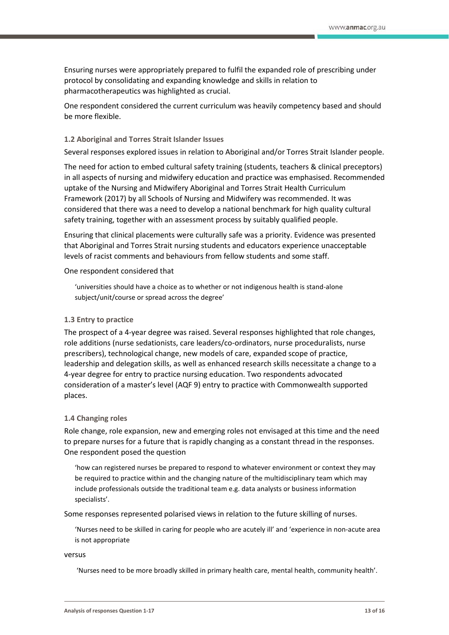Ensuring nurses were appropriately prepared to fulfil the expanded role of prescribing under protocol by consolidating and expanding knowledge and skills in relation to pharmacotherapeutics was highlighted as crucial.

One respondent considered the current curriculum was heavily competency based and should be more flexible.

### **1.2 Aboriginal and Torres Strait Islander Issues**

Several responses explored issues in relation to Aboriginal and/or Torres Strait Islander people.

The need for action to embed cultural safety training (students, teachers & clinical preceptors) in all aspects of nursing and midwifery education and practice was emphasised. Recommended uptake of the Nursing and Midwifery Aboriginal and Torres Strait Health Curriculum Framework (2017) by all Schools of Nursing and Midwifery was recommended. It was considered that there was a need to develop a national benchmark for high quality cultural safety training, together with an assessment process by suitably qualified people.

Ensuring that clinical placements were culturally safe was a priority. Evidence was presented that Aboriginal and Torres Strait nursing students and educators experience unacceptable levels of racist comments and behaviours from fellow students and some staff.

#### One respondent considered that

'universities should have a choice as to whether or not indigenous health is stand-alone subject/unit/course or spread across the degree'

### **1.3 Entry to practice**

The prospect of a 4-year degree was raised. Several responses highlighted that role changes, role additions (nurse sedationists, care leaders/co-ordinators, nurse proceduralists, nurse prescribers), technological change, new models of care, expanded scope of practice, leadership and delegation skills, as well as enhanced research skills necessitate a change to a 4-year degree for entry to practice nursing education. Two respondents advocated consideration of a master's level (AQF 9) entry to practice with Commonwealth supported places.

### **1.4 Changing roles**

Role change, role expansion, new and emerging roles not envisaged at this time and the need to prepare nurses for a future that is rapidly changing as a constant thread in the responses. One respondent posed the question

'how can registered nurses be prepared to respond to whatever environment or context they may be required to practice within and the changing nature of the multidisciplinary team which may include professionals outside the traditional team e.g. data analysts or business information specialists'.

Some responses represented polarised views in relation to the future skilling of nurses.

'Nurses need to be skilled in caring for people who are acutely ill' and 'experience in non-acute area is not appropriate

versus

'Nurses need to be more broadly skilled in primary health care, mental health, community health'.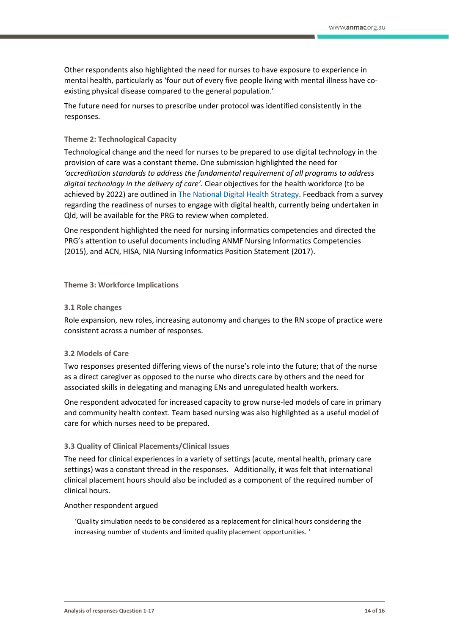Other respondents also highlighted the need for nurses to have exposure to experience in mental health, particularly as 'four out of every five people living with mental illness have coexisting physical disease compared to the general population.'

The future need for nurses to prescribe under protocol was identified consistently in the responses.

### **Theme 2: Technological Capacity**

Technological change and the need for nurses to be prepared to use digital technology in the provision of care was a constant theme. One submission highlighted the need for *'accreditation standards to address the fundamental requirement of all programs to address digital technology in the delivery of care'.* Clear objectives for the health workforce (to be achieved by 2022) are outlined i[n The National Digital Health Strategy.](https://www.digitalhealth.gov.au/about-the-agency/publications/australias-national-digital-health-strategy) Feedback from a survey regarding the readiness of nurses to engage with digital health, currently being undertaken in Qld, will be available for the PRG to review when completed.

One respondent highlighted the need for nursing informatics competencies and directed the PRG's attention to useful documents including ANMF Nursing Informatics Competencies (2015), and ACN, HISA, NIA Nursing Informatics Position Statement (2017).

#### **Theme 3: Workforce Implications**

#### **3.1 Role changes**

Role expansion, new roles, increasing autonomy and changes to the RN scope of practice were consistent across a number of responses.

### **3.2 Models of Care**

Two responses presented differing views of the nurse's role into the future; that of the nurse as a direct caregiver as opposed to the nurse who directs care by others and the need for associated skills in delegating and managing ENs and unregulated health workers.

One respondent advocated for increased capacity to grow nurse-led models of care in primary and community health context. Team based nursing was also highlighted as a useful model of care for which nurses need to be prepared.

#### **3.3 Quality of Clinical Placements/Clinical Issues**

The need for clinical experiences in a variety of settings (acute, mental health, primary care settings) was a constant thread in the responses. Additionally, it was felt that international clinical placement hours should also be included as a component of the required number of clinical hours.

#### Another respondent argued

'Quality simulation needs to be considered as a replacement for clinical hours considering the increasing number of students and limited quality placement opportunities. '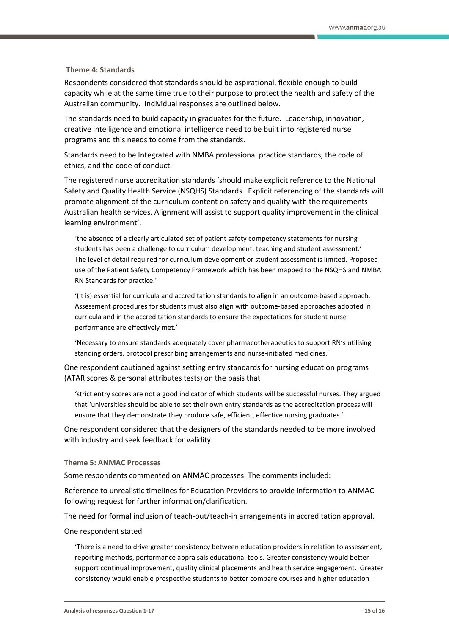#### **Theme 4: Standards**

Respondents considered that standards should be aspirational, flexible enough to build capacity while at the same time true to their purpose to protect the health and safety of the Australian community. Individual responses are outlined below.

The standards need to build capacity in graduates for the future. Leadership, innovation, creative intelligence and emotional intelligence need to be built into registered nurse programs and this needs to come from the standards.

Standards need to be Integrated with NMBA professional practice standards, the code of ethics, and the code of conduct.

The registered nurse accreditation standards 'should make explicit reference to the National Safety and Quality Health Service (NSQHS) Standards. Explicit referencing of the standards will promote alignment of the curriculum content on safety and quality with the requirements Australian health services. Alignment will assist to support quality improvement in the clinical learning environment'.

'the absence of a clearly articulated set of patient safety competency statements for nursing students has been a challenge to curriculum development, teaching and student assessment.' The level of detail required for curriculum development or student assessment is limited. Proposed use of the Patient Safety Competency Framework which has been mapped to the NSQHS and NMBA RN Standards for practice.'

'(It is) essential for curricula and accreditation standards to align in an outcome-based approach. Assessment procedures for students must also align with outcome-based approaches adopted in curricula and in the accreditation standards to ensure the expectations for student nurse performance are effectively met.'

'Necessary to ensure standards adequately cover pharmacotherapeutics to support RN's utilising standing orders, protocol prescribing arrangements and nurse-initiated medicines.'

One respondent cautioned against setting entry standards for nursing education programs (ATAR scores & personal attributes tests) on the basis that

'strict entry scores are not a good indicator of which students will be successful nurses. They argued that 'universities should be able to set their own entry standards as the accreditation process will ensure that they demonstrate they produce safe, efficient, effective nursing graduates.'

One respondent considered that the designers of the standards needed to be more involved with industry and seek feedback for validity.

#### **Theme 5: ANMAC Processes**

Some respondents commented on ANMAC processes. The comments included:

Reference to unrealistic timelines for Education Providers to provide information to ANMAC following request for further information/clarification.

The need for formal inclusion of teach-out/teach-in arrangements in accreditation approval.

#### One respondent stated

'There is a need to drive greater consistency between education providers in relation to assessment, reporting methods, performance appraisals educational tools. Greater consistency would better support continual improvement, quality clinical placements and health service engagement. Greater consistency would enable prospective students to better compare courses and higher education